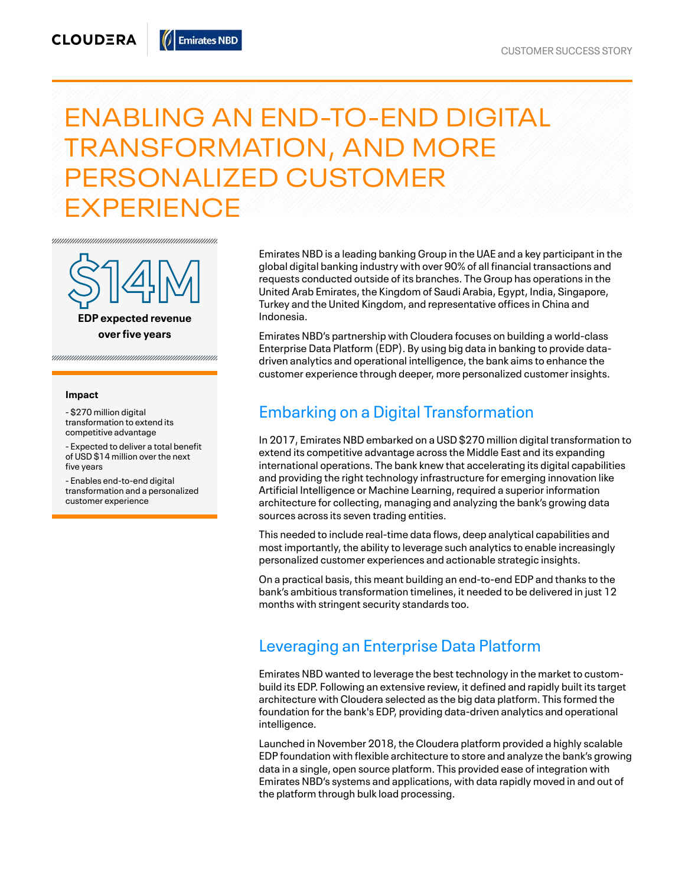# ENABLING AN END-TO-END DIGITAL TRANSFORMATION, AND MORE PERSONALIZED CUSTOMER **EXPERIENCE**



**EDP e xpe cted re venue overfive years**

#### **Impact**

- \$270 million digital transformation to extend its competitive advantage

- Expected to deliver a total benefit of USD \$14 million over the next five years

- Enables end-to-end digital transformation and a personalized customer experience

Emirates NBD is a leading banking Group in the UAE and a key participant in the global digital banking industry with over 90% of all financial transactions and requests conducted outside of its branches. The Group has operations in the United Arab Emirates, the Kingdom of Saudi Arabia, Egypt, India, Singapore, Turkey and the United Kingdom, and representative offices in China and Indonesia.

Emirates NBD's partnership with Cloudera focuses on building a world-class Enterprise Data Platform (EDP). By using big data in banking to provide datadriven analytics and operational intelligence, the bank aims to enhance the customer experience through deeper, more personalized customer insights.

### Embarking on a Digital Transformation

In 2017, Emirates NBD embarked on a USD \$270 million digital transformation to extend its competitive advantage across the Middle East and its expanding international operations. The bank knew that accelerating its digital capabilities and providing the right technology infrastructure for emerging innovation like Artificial Intelligence or Machine Learning, required a superior information architecture for collecting, managing and analyzing the bank's growing data sources across its seven trading entities.

This needed to include real-time data flows, deep analytical capabilities and most importantly, the ability to leverage such analytics to enable increasingly personalized customer experiences and actionable strategic insights.

On a practical basis, this meant building an end-to-end EDP and thanks to the bank's ambitious transformation timelines, it needed to be delivered in just 12 months with stringent security standards too.

### Leveraging an Enterprise Data Platform

Emirates NBD wanted to leverage the best technology in the market to custombuild its EDP. Following an extensive review, it defined and rapidly built its target architecture with Cloudera selected as the big data platform. This formed the foundation for the bank's EDP, providing data-driven analytics and operational intelligence.

Launched in November 2018, the Cloudera platform provided a highly scalable EDP foundation with flexible architecture to store and analyze the bank's growing data in a single, open source platform. This provided ease of integration with Emirates NBD's systems and applications, with data rapidly moved in and out of the platform through bulk load processing.

**Emirates NBD**